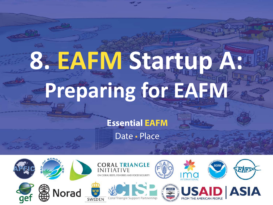# **8. EAFM Startup A: Preparing for EAFM**

**Essential EAFM**

Date • Place

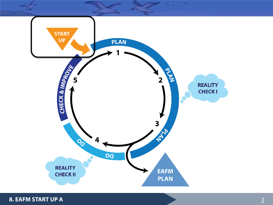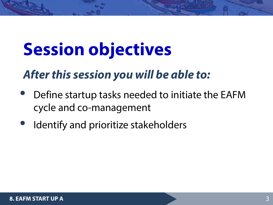# **Session objectives**

#### *After this session you will be able to:*

- Define startup tasks needed to initiate the EAFM cycle and co-management
- Identify and prioritize stakeholders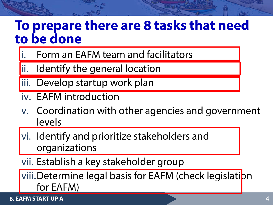#### **To prepare there are 8 tasks that need to be done**

- Form an EAFM team and facilitators
- ii. Identify the general location
- liii. Develop startup work plan
- iv. EAFM introduction
- v. Coordination with other agencies and government levels
- vi. Identify and prioritize stakeholders and organizations
- vii. Establish a key stakeholder group

viii.Determine legal basis for EAFM (check legislation for EAFM)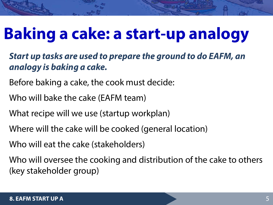## **Baking a cake: a start-up analogy**

#### *Start up tasks are used to prepare the ground to do EAFM, an analogy is baking a cake.*

- Before baking a cake, the cook must decide:
- Who will bake the cake (EAFM team)
- What recipe will we use (startup workplan)
- Where will the cake will be cooked (general location)
- Who will eat the cake (stakeholders)

Who will oversee the cooking and distribution of the cake to others (key stakeholder group)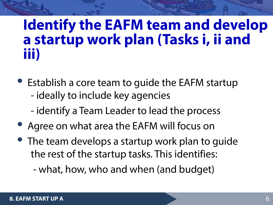#### **Identify the EAFM team and develop a startup work plan (Tasks i, ii and iii)**

- Establish a core team to guide the EAFM startup - ideally to include key agencies
	- identify a Team Leader to lead the process
- Agree on what area the EAFM will focus on
- The team develops a startup work plan to guide the rest of the startup tasks. This identifies:

- what, how, who and when (and budget)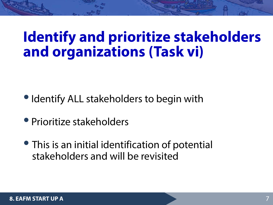#### **Identify and prioritize stakeholders and organizations (Task vi)**

- Identify ALL stakeholders to begin with
- Prioritize stakeholders
- This is an initial identification of potential stakeholders and will be revisited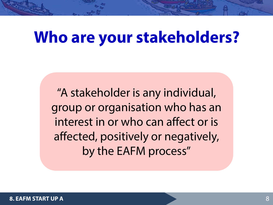#### **Who are your stakeholders?**

"A stakeholder is any individual, group or organisation who has an interest in or who can affect or is affected, positively or negatively, by the EAFM process"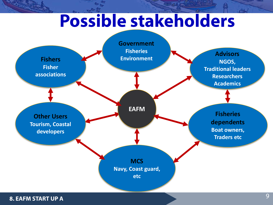### **Possible stakeholders**

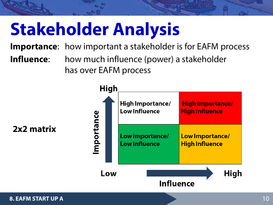# **Stakeholder Analysis**

**Importance**: how important a stakeholder is for EAFM process

**Influence:** how much influence (power) a stakeholder has over EAFM process



**2x2 matrix**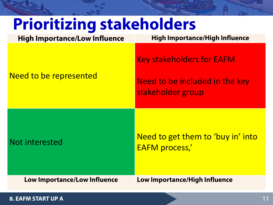| <b>Prioritizing stakeholders</b>     |                                                                                         |
|--------------------------------------|-----------------------------------------------------------------------------------------|
| <b>High Importance/Low Influence</b> | <b>High Importance/High Influence</b>                                                   |
| Need to be represented               | <b>Key stakeholders for EAFM</b><br>Need to be included in the key<br>stakeholder group |
| Not interested                       | Need to get them to 'buy in' into<br><b>EAFM process,'</b>                              |
| <b>Low Importance/Low Influence</b>  | <b>Low Importance/High Influence</b>                                                    |

b.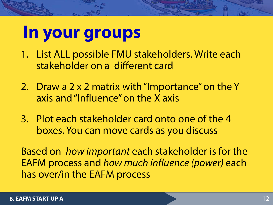#### **In your groups**

- 1. List ALL possible FMU stakeholders. Write each stakeholder on a different card
- 2. Draw a 2 x 2 matrix with "Importance" on the Y axis and "Influence" on the X axis
- 3. Plot each stakeholder card onto one of the 4 boxes. You can move cards as you discuss

Based on *how important* each stakeholder is for the EAFM process and *how much influence (power)* each has over/in the EAFM process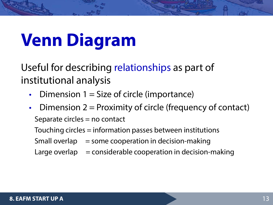# **Venn Diagram**

Useful for describing relationships as part of institutional analysis

- Dimension  $1 =$  Size of circle (importance)
- Dimension  $2 =$  Proximity of circle (frequency of contact) Separate circles = no contact

Touching circles = information passes between institutions

Small overlap  $=$  some cooperation in decision-making

Large overlap  $=$  considerable cooperation in decision-making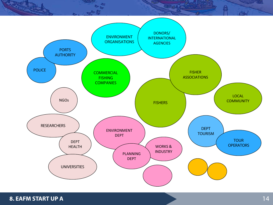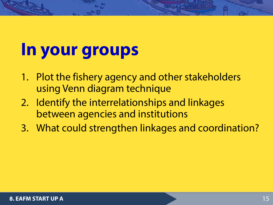### **In your groups**

- 1. Plot the fishery agency and other stakeholders using Venn diagram technique
- 2. Identify the interrelationships and linkages between agencies and institutions
- 3. What could strengthen linkages and coordination?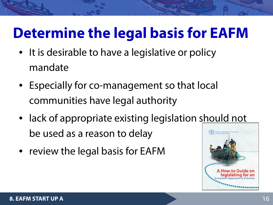#### **Determine the legal basis for EAFM**

- It is desirable to have a legislative or policy mandate
- Especially for co-management so that local communities have legal authority
- lack of appropriate existing legislation should not be used as a reason to delay
- review the legal basis for EAFM

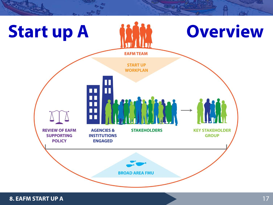